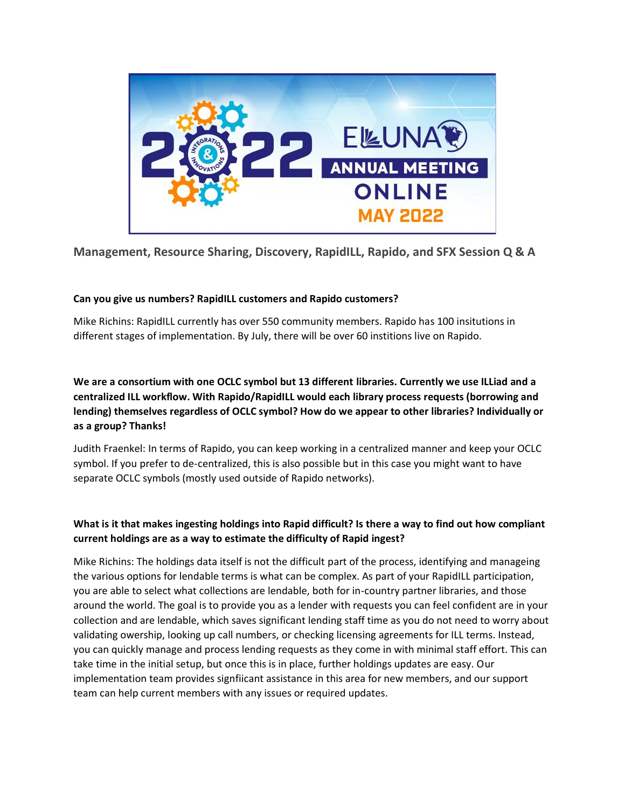

**Management, Resource Sharing, Discovery, RapidILL, Rapido, and SFX Session Q & A**

### **Can you give us numbers? RapidILL customers and Rapido customers?**

Mike Richins: RapidILL currently has over 550 community members. Rapido has 100 insitutions in different stages of implementation. By July, there will be over 60 institions live on Rapido.

**We are a consortium with one OCLC symbol but 13 different libraries. Currently we use ILLiad and a centralized ILL workflow. With Rapido/RapidILL would each library process requests (borrowing and lending) themselves regardless of OCLC symbol? How do we appear to other libraries? Individually or as a group? Thanks!**

Judith Fraenkel: In terms of Rapido, you can keep working in a centralized manner and keep your OCLC symbol. If you prefer to de-centralized, this is also possible but in this case you might want to have separate OCLC symbols (mostly used outside of Rapido networks).

# **What is it that makes ingesting holdings into Rapid difficult? Is there a way to find out how compliant current holdings are as a way to estimate the difficulty of Rapid ingest?**

Mike Richins: The holdings data itself is not the difficult part of the process, identifying and manageing the various options for lendable terms is what can be complex. As part of your RapidILL participation, you are able to select what collections are lendable, both for in-country partner libraries, and those around the world. The goal is to provide you as a lender with requests you can feel confident are in your collection and are lendable, which saves significant lending staff time as you do not need to worry about validating owership, looking up call numbers, or checking licensing agreements for ILL terms. Instead, you can quickly manage and process lending requests as they come in with minimal staff effort. This can take time in the initial setup, but once this is in place, further holdings updates are easy. Our implementation team provides signfiicant assistance in this area for new members, and our support team can help current members with any issues or required updates.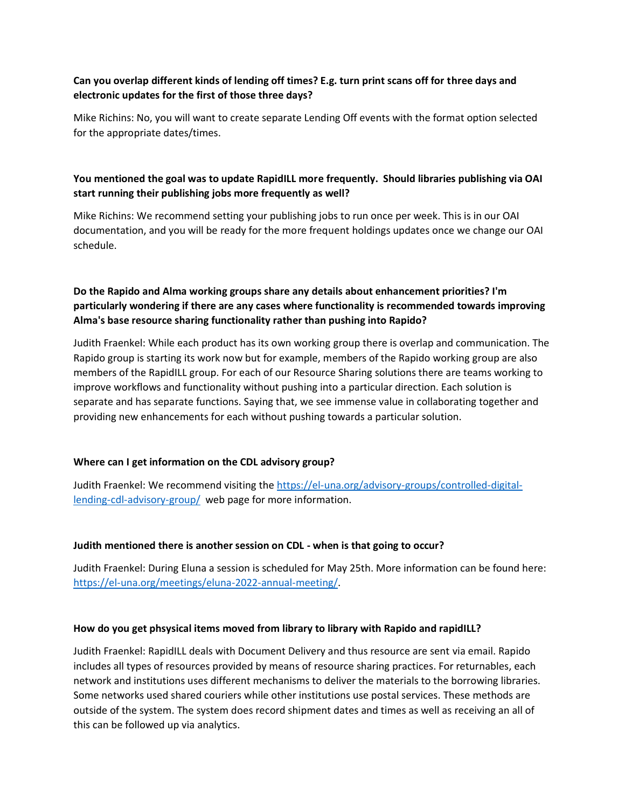## **Can you overlap different kinds of lending off times? E.g. turn print scans off for three days and electronic updates for the first of those three days?**

Mike Richins: No, you will want to create separate Lending Off events with the format option selected for the appropriate dates/times.

# **You mentioned the goal was to update RapidILL more frequently. Should libraries publishing via OAI start running their publishing jobs more frequently as well?**

Mike Richins: We recommend setting your publishing jobs to run once per week. This is in our OAI documentation, and you will be ready for the more frequent holdings updates once we change our OAI schedule.

# **Do the Rapido and Alma working groups share any details about enhancement priorities? I'm particularly wondering if there are any cases where functionality is recommended towards improving Alma's base resource sharing functionality rather than pushing into Rapido?**

Judith Fraenkel: While each product has its own working group there is overlap and communication. The Rapido group is starting its work now but for example, members of the Rapido working group are also members of the RapidILL group. For each of our Resource Sharing solutions there are teams working to improve workflows and functionality without pushing into a particular direction. Each solution is separate and has separate functions. Saying that, we see immense value in collaborating together and providing new enhancements for each without pushing towards a particular solution.

### **Where can I get information on the CDL advisory group?**

Judith Fraenkel: We recommend visiting the [https://el-una.org/advisory-groups/controlled-digital](https://el-una.org/advisory-groups/controlled-digital-lending-cdl-advisory-group/)[lending-cdl-advisory-group/](https://el-una.org/advisory-groups/controlled-digital-lending-cdl-advisory-group/) web page for more information.

#### **Judith mentioned there is another session on CDL - when is that going to occur?**

Judith Fraenkel: During Eluna a session is scheduled for May 25th. More information can be found here: [https://el-una.org/meetings/eluna-2022-annual-meeting/.](https://el-una.org/meetings/eluna-2022-annual-meeting/)

#### **How do you get phsysical items moved from library to library with Rapido and rapidILL?**

Judith Fraenkel: RapidILL deals with Document Delivery and thus resource are sent via email. Rapido includes all types of resources provided by means of resource sharing practices. For returnables, each network and institutions uses different mechanisms to deliver the materials to the borrowing libraries. Some networks used shared couriers while other institutions use postal services. These methods are outside of the system. The system does record shipment dates and times as well as receiving an all of this can be followed up via analytics.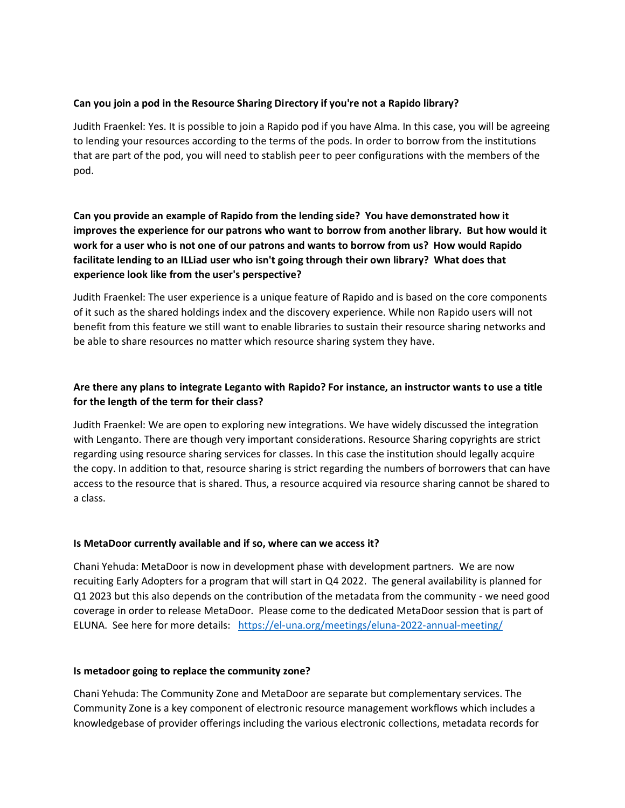#### **Can you join a pod in the Resource Sharing Directory if you're not a Rapido library?**

Judith Fraenkel: Yes. It is possible to join a Rapido pod if you have Alma. In this case, you will be agreeing to lending your resources according to the terms of the pods. In order to borrow from the institutions that are part of the pod, you will need to stablish peer to peer configurations with the members of the pod.

**Can you provide an example of Rapido from the lending side? You have demonstrated how it improves the experience for our patrons who want to borrow from another library. But how would it work for a user who is not one of our patrons and wants to borrow from us? How would Rapido facilitate lending to an ILLiad user who isn't going through their own library? What does that experience look like from the user's perspective?**

Judith Fraenkel: The user experience is a unique feature of Rapido and is based on the core components of it such as the shared holdings index and the discovery experience. While non Rapido users will not benefit from this feature we still want to enable libraries to sustain their resource sharing networks and be able to share resources no matter which resource sharing system they have.

# **Are there any plans to integrate Leganto with Rapido? For instance, an instructor wants to use a title for the length of the term for their class?**

Judith Fraenkel: We are open to exploring new integrations. We have widely discussed the integration with Lenganto. There are though very important considerations. Resource Sharing copyrights are strict regarding using resource sharing services for classes. In this case the institution should legally acquire the copy. In addition to that, resource sharing is strict regarding the numbers of borrowers that can have access to the resource that is shared. Thus, a resource acquired via resource sharing cannot be shared to a class.

#### **Is MetaDoor currently available and if so, where can we access it?**

Chani Yehuda: MetaDoor is now in development phase with development partners. We are now recuiting Early Adopters for a program that will start in Q4 2022. The general availability is planned for Q1 2023 but this also depends on the contribution of the metadata from the community - we need good coverage in order to release MetaDoor. Please come to the dedicated MetaDoor session that is part of ELUNA. See here for more details: <https://el-una.org/meetings/eluna-2022-annual-meeting/>

#### **Is metadoor going to replace the community zone?**

Chani Yehuda: The Community Zone and MetaDoor are separate but complementary services. The Community Zone is a key component of electronic resource management workflows which includes a knowledgebase of provider offerings including the various electronic collections, metadata records for